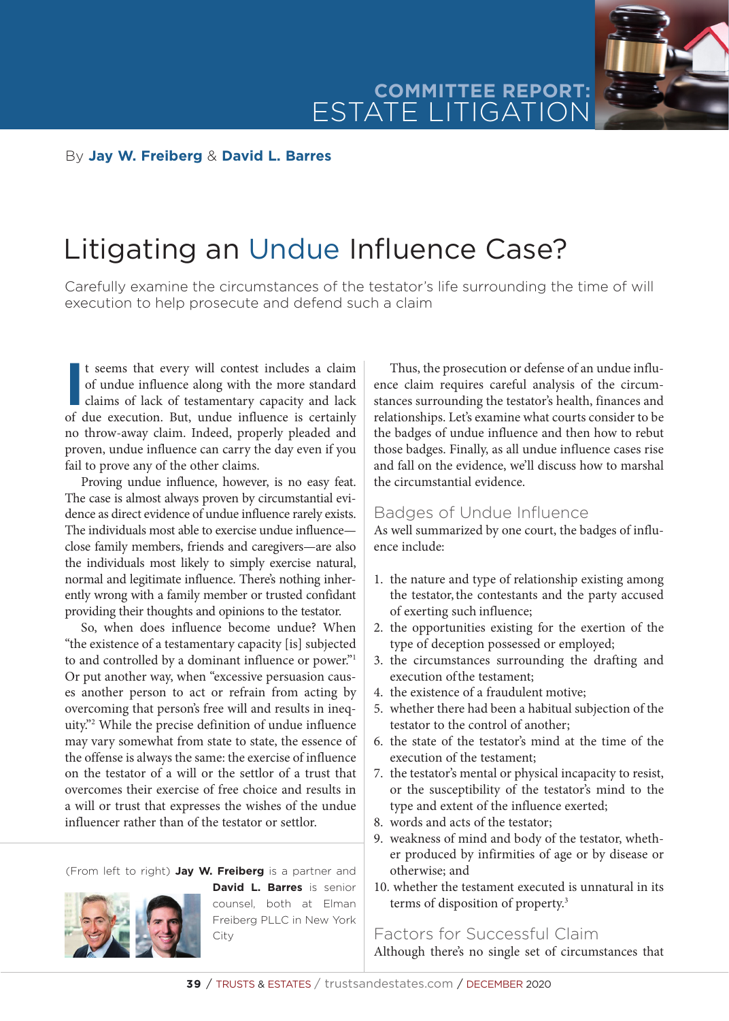

#### By **Jay W. Freiberg** & **David L. Barres**

# Litigating an Undue Influence Case?

Carefully examine the circumstances of the testator's life surrounding the time of will execution to help prosecute and defend such a claim

It seems that every will contest includes a claim<br>of undue influence along with the more standard<br>claims of lack of testamentary capacity and lack<br>of due execution. But, undue influence is certainly t seems that every will contest includes a claim of undue influence along with the more standard claims of lack of testamentary capacity and lack no throw-away claim. Indeed, properly pleaded and proven, undue influence can carry the day even if you fail to prove any of the other claims.

Proving undue influence, however, is no easy feat. The case is almost always proven by circumstantial evidence as direct evidence of undue influence rarely exists. The individuals most able to exercise undue influence close family members, friends and caregivers—are also the individuals most likely to simply exercise natural, normal and legitimate influence. There's nothing inherently wrong with a family member or trusted confidant providing their thoughts and opinions to the testator.

So, when does influence become undue? When "the existence of a testamentary capacity [is] subjected to and controlled by a dominant influence or power."1 Or put another way, when "excessive persuasion causes another person to act or refrain from acting by overcoming that person's free will and results in inequity."2 While the precise definition of undue influence may vary somewhat from state to state, the essence of the offense is always the same: the exercise of influence on the testator of a will or the settlor of a trust that overcomes their exercise of free choice and results in a will or trust that expresses the wishes of the undue influencer rather than of the testator or settlor.

(From left to right) **Jay W. Freiberg** is a partner and



**David L. Barres** is senior counsel, both at Elman Freiberg PLLC in New York City

Thus, the prosecution or defense of an undue influence claim requires careful analysis of the circumstances surrounding the testator's health, finances and relationships. Let's examine what courts consider to be the badges of undue influence and then how to rebut those badges. Finally, as all undue influence cases rise and fall on the evidence, we'll discuss how to marshal the circumstantial evidence.

#### Badges of Undue Influence

As well summarized by one court, the badges of influence include:

- 1. the nature and type of relationship existing among the testator, the contestants and the party accused of exerting such influence;
- 2. the opportunities existing for the exertion of the type of deception possessed or employed;
- 3. the circumstances surrounding the drafting and execution of the testament;
- 4. the existence of a fraudulent motive;
- 5. whether there had been a habitual subjection of the testator to the control of another;
- 6. the state of the testator's mind at the time of the execution of the testament;
- 7. the testator's mental or physical incapacity to resist, or the susceptibility of the testator's mind to the type and extent of the influence exerted;
- 8. words and acts of the testator;
- 9. weakness of mind and body of the testator, whether produced by infirmities of age or by disease or otherwise; and
- 10. whether the testament executed is unnatural in its terms of disposition of property.3

Factors for Successful Claim Although there's no single set of circumstances that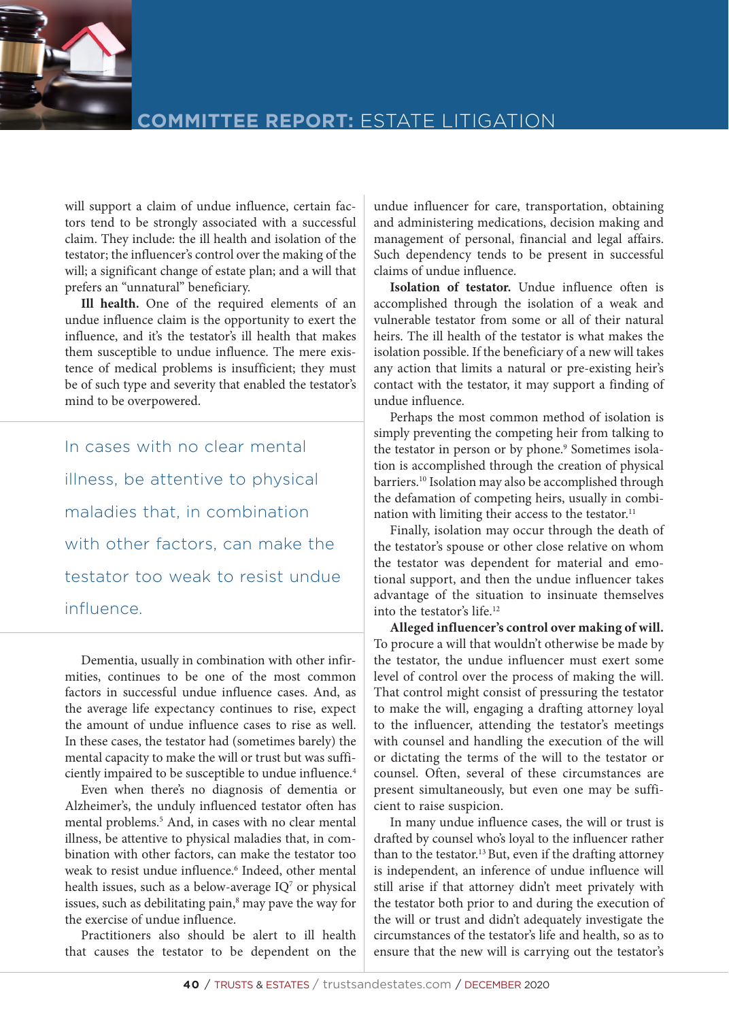

will support a claim of undue influence, certain factors tend to be strongly associated with a successful claim. They include: the ill health and isolation of the testator; the influencer's control over the making of the will; a significant change of estate plan; and a will that prefers an "unnatural" beneficiary.

**Ill health.** One of the required elements of an undue influence claim is the opportunity to exert the influence, and it's the testator's ill health that makes them susceptible to undue influence. The mere existence of medical problems is insufficient; they must be of such type and severity that enabled the testator's mind to be overpowered.

In cases with no clear mental illness, be attentive to physical maladies that, in combination with other factors, can make the testator too weak to resist undue influence.

Dementia, usually in combination with other infirmities, continues to be one of the most common factors in successful undue influence cases. And, as the average life expectancy continues to rise, expect the amount of undue influence cases to rise as well. In these cases, the testator had (sometimes barely) the mental capacity to make the will or trust but was sufficiently impaired to be susceptible to undue influence.<sup>4</sup>

Even when there's no diagnosis of dementia or Alzheimer's, the unduly influenced testator often has mental problems.5 And, in cases with no clear mental illness, be attentive to physical maladies that, in combination with other factors, can make the testator too weak to resist undue influence.<sup>6</sup> Indeed, other mental health issues, such as a below-average IQ<sup>7</sup> or physical issues, such as debilitating pain,<sup>8</sup> may pave the way for the exercise of undue influence.

Practitioners also should be alert to ill health that causes the testator to be dependent on the

undue influencer for care, transportation, obtaining and administering medications, decision making and management of personal, financial and legal affairs. Such dependency tends to be present in successful claims of undue influence.

**Isolation of testator.** Undue influence often is accomplished through the isolation of a weak and vulnerable testator from some or all of their natural heirs. The ill health of the testator is what makes the isolation possible. If the beneficiary of a new will takes any action that limits a natural or pre-existing heir's contact with the testator, it may support a finding of undue influence.

Perhaps the most common method of isolation is simply preventing the competing heir from talking to the testator in person or by phone.<sup>9</sup> Sometimes isolation is accomplished through the creation of physical barriers.<sup>10</sup> Isolation may also be accomplished through the defamation of competing heirs, usually in combination with limiting their access to the testator.<sup>11</sup>

Finally, isolation may occur through the death of the testator's spouse or other close relative on whom the testator was dependent for material and emotional support, and then the undue influencer takes advantage of the situation to insinuate themselves into the testator's life.12

**Alleged influencer's control over making of will.**  To procure a will that wouldn't otherwise be made by the testator, the undue influencer must exert some level of control over the process of making the will. That control might consist of pressuring the testator to make the will, engaging a drafting attorney loyal to the influencer, attending the testator's meetings with counsel and handling the execution of the will or dictating the terms of the will to the testator or counsel. Often, several of these circumstances are present simultaneously, but even one may be sufficient to raise suspicion.

In many undue influence cases, the will or trust is drafted by counsel who's loyal to the influencer rather than to the testator.<sup>13</sup> But, even if the drafting attorney is independent, an inference of undue influence will still arise if that attorney didn't meet privately with the testator both prior to and during the execution of the will or trust and didn't adequately investigate the circumstances of the testator's life and health, so as to ensure that the new will is carrying out the testator's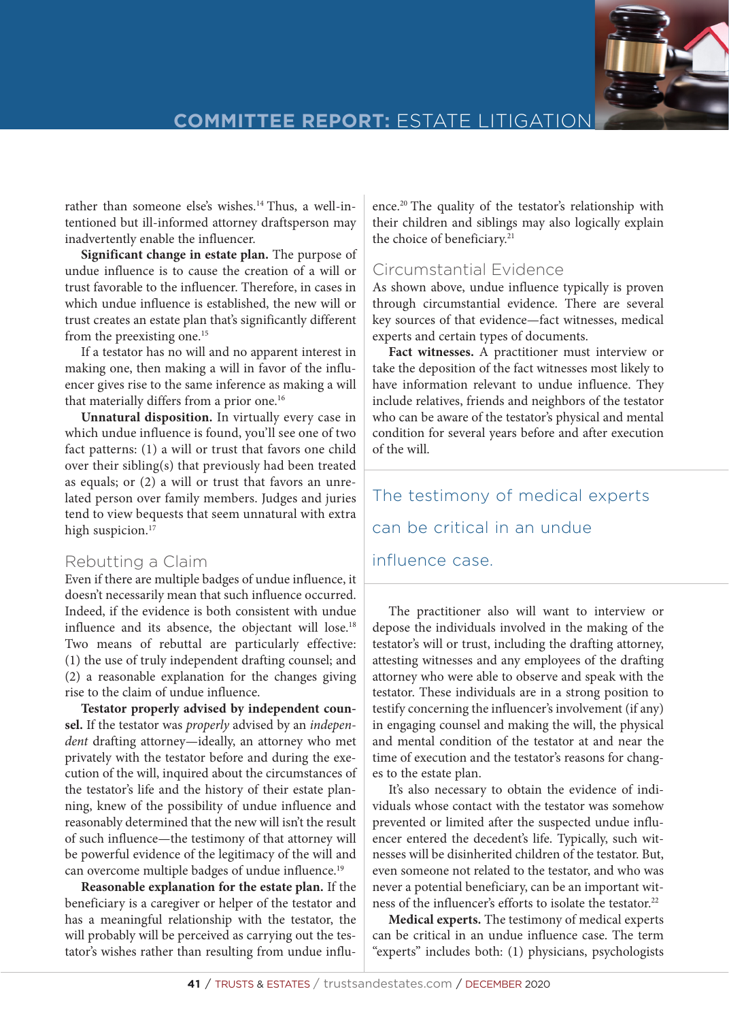

rather than someone else's wishes.<sup>14</sup> Thus, a well-intentioned but ill-informed attorney draftsperson may inadvertently enable the influencer.

**Significant change in estate plan.** The purpose of undue influence is to cause the creation of a will or trust favorable to the influencer. Therefore, in cases in which undue influence is established, the new will or trust creates an estate plan that's significantly different from the preexisting one.<sup>15</sup>

If a testator has no will and no apparent interest in making one, then making a will in favor of the influencer gives rise to the same inference as making a will that materially differs from a prior one.<sup>16</sup>

**Unnatural disposition.** In virtually every case in which undue influence is found, you'll see one of two fact patterns: (1) a will or trust that favors one child over their sibling(s) that previously had been treated as equals; or (2) a will or trust that favors an unrelated person over family members. Judges and juries tend to view bequests that seem unnatural with extra high suspicion.<sup>17</sup>

### Rebutting a Claim

Even if there are multiple badges of undue influence, it doesn't necessarily mean that such influence occurred. Indeed, if the evidence is both consistent with undue influence and its absence, the objectant will lose.<sup>18</sup> Two means of rebuttal are particularly effective: (1) the use of truly independent drafting counsel; and (2) a reasonable explanation for the changes giving rise to the claim of undue influence.

**Testator properly advised by independent counsel.** If the testator was *properly* advised by an *independent* drafting attorney—ideally, an attorney who met privately with the testator before and during the execution of the will, inquired about the circumstances of the testator's life and the history of their estate planning, knew of the possibility of undue influence and reasonably determined that the new will isn't the result of such influence—the testimony of that attorney will be powerful evidence of the legitimacy of the will and can overcome multiple badges of undue influence.<sup>19</sup>

**Reasonable explanation for the estate plan.** If the beneficiary is a caregiver or helper of the testator and has a meaningful relationship with the testator, the will probably will be perceived as carrying out the testator's wishes rather than resulting from undue influence.20 The quality of the testator's relationship with their children and siblings may also logically explain the choice of beneficiary.<sup>21</sup>

### Circumstantial Evidence

As shown above, undue influence typically is proven through circumstantial evidence. There are several key sources of that evidence—fact witnesses, medical experts and certain types of documents.

**Fact witnesses.** A practitioner must interview or take the deposition of the fact witnesses most likely to have information relevant to undue influence. They include relatives, friends and neighbors of the testator who can be aware of the testator's physical and mental condition for several years before and after execution of the will.

The testimony of medical experts can be critical in an undue influence case.

The practitioner also will want to interview or depose the individuals involved in the making of the testator's will or trust, including the drafting attorney, attesting witnesses and any employees of the drafting attorney who were able to observe and speak with the testator. These individuals are in a strong position to testify concerning the influencer's involvement (if any) in engaging counsel and making the will, the physical and mental condition of the testator at and near the time of execution and the testator's reasons for changes to the estate plan.

It's also necessary to obtain the evidence of individuals whose contact with the testator was somehow prevented or limited after the suspected undue influencer entered the decedent's life. Typically, such witnesses will be disinherited children of the testator. But, even someone not related to the testator, and who was never a potential beneficiary, can be an important witness of the influencer's efforts to isolate the testator.<sup>22</sup>

**Medical experts.** The testimony of medical experts can be critical in an undue influence case. The term "experts" includes both: (1) physicians, psychologists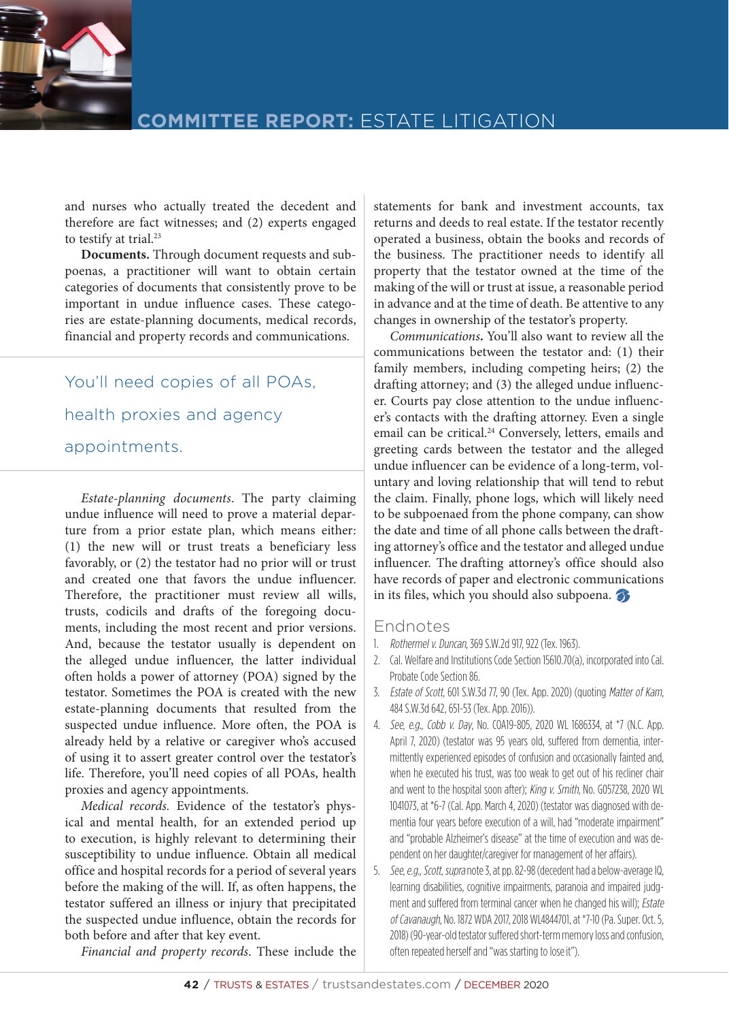

and nurses who actually treated the decedent and therefore are fact witnesses; and (2) experts engaged to testify at trial.<sup>23</sup>

**Documents.** Through document requests and subpoenas, a practitioner will want to obtain certain categories of documents that consistently prove to be important in undue influence cases. These categories are estate-planning documents, medical records, financial and property records and communications.

You'll need copies of all POAs, health proxies and agency appointments.

*Estate-planning documents*. The party claiming undue influence will need to prove a material departure from a prior estate plan, which means either: (1) the new will or trust treats a beneficiary less favorably, or (2) the testator had no prior will or trust and created one that favors the undue influencer. Therefore, the practitioner must review all wills, trusts, codicils and drafts of the foregoing documents, including the most recent and prior versions. And, because the testator usually is dependent on the alleged undue influencer, the latter individual often holds a power of attorney (POA) signed by the testator. Sometimes the POA is created with the new estate-planning documents that resulted from the suspected undue influence. More often, the POA is already held by a relative or caregiver who's accused of using it to assert greater control over the testator's life. Therefore, you'll need copies of all POAs, health proxies and agency appointments.

*Medical records.* Evidence of the testator's physical and mental health, for an extended period up to execution, is highly relevant to determining their susceptibility to undue influence. Obtain all medical office and hospital records for a period of several years before the making of the will. If, as often happens, the testator suffered an illness or injury that precipitated the suspected undue influence, obtain the records for both before and after that key event.

*Financial and property records*. These include the

statements for bank and investment accounts, tax returns and deeds to real estate. If the testator recently operated a business, obtain the books and records of the business. The practitioner needs to identify all property that the testator owned at the time of the making of the will or trust at issue, a reasonable period in advance and at the time of death. Be attentive to any changes in ownership of the testator's property.

*Communications***.** You'll also want to review all the communications between the testator and: (1) their family members, including competing heirs; (2) the drafting attorney; and (3) the alleged undue influencer. Courts pay close attention to the undue influencer's contacts with the drafting attorney. Even a single email can be critical.<sup>24</sup> Conversely, letters, emails and greeting cards between the testator and the alleged undue influencer can be evidence of a long-term, voluntary and loving relationship that will tend to rebut the claim. Finally, phone logs, which will likely need to be subpoenaed from the phone company, can show the date and time of all phone calls between the drafting attorney's office and the testator and alleged undue influencer. The drafting attorney's office should also have records of paper and electronic communications in its files, which you should also subpoena.

#### Endnotes

- 1. Rothermel v. Duncan, 369 S.W.2d 917, 922 (Tex. 1963).
- 2. Cal. Welfare and Institutions Code Section 15610.70(a), incorporated into Cal. Probate Code Section 86.
- 3. Estate of Scott, 601 S.W.3d 77, 90 (Tex. App. 2020) (quoting Matter of Kam, 484 S.W.3d 642, 651-53 (Tex. App. 2016)).
- 4. See, e.g., Cobb v. Day, No. COA19-805, 2020 WL 1686334, at \*7 (N.C. App. April 7, 2020) (testator was 95 years old, suffered from dementia, intermittently experienced episodes of confusion and occasionally fainted and, when he executed his trust, was too weak to get out of his recliner chair and went to the hospital soon after); King v. Smith, No. G057238, 2020 WL 1041073, at \*6-7 (Cal. App. March 4, 2020) (testator was diagnosed with dementia four years before execution of a will, had "moderate impairment" and "probable Alzheimer's disease" at the time of execution and was dependent on her daughter/caregiver for management of her affairs).
- 5. See, e.g., Scott, supra note 3, at pp. 82-98 (decedent had a below-average IQ, learning disabilities, cognitive impairments, paranoia and impaired judgment and suffered from terminal cancer when he changed his will); Estate of Cavanaugh, No. 1872 WDA 2017, 2018 WL4844701, at \*7-10 (Pa. Super. Oct. 5, 2018) (90-year-old testator suffered short-term memory loss and confusion, often repeated herself and "was starting to lose it").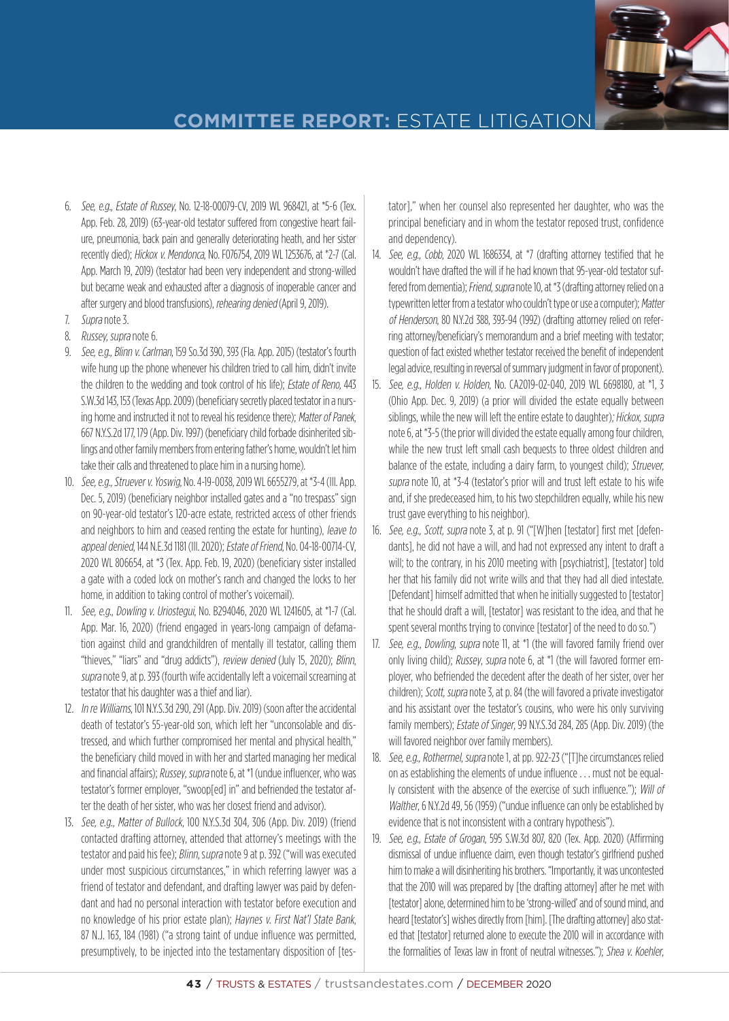

- 6. See, e.g., Estate of Russey, No. 12-18-00079-CV, 2019 WL 968421, at \*5-6 (Tex. App. Feb. 28, 2019) (63-year-old testator suffered from congestive heart failure, pneumonia, back pain and generally deteriorating heath, and her sister recently died); Hickox v. Mendonca, No. F076754, 2019 WL 1253676, at \*2-7 (Cal. App. March 19, 2019) (testator had been very independent and strong-willed but became weak and exhausted after a diagnosis of inoperable cancer and after surgery and blood transfusions), rehearing denied (April 9, 2019).
- 7. Supra note 3.
- 8. Russey, supra note 6.
- 9. See, e.g., Blinn v. Carlman, 159 So.3d 390, 393 (Fla. App. 2015) (testator's fourth wife hung up the phone whenever his children tried to call him, didn't invite the children to the wedding and took control of his life); Estate of Reno, 443 S.W.3d 143, 153 (Texas App. 2009) (beneficiary secretly placed testator in a nursing home and instructed it not to reveal his residence there); Matter of Panek, 667 N.Y.S.2d 177, 179 (App. Div. 1997) (beneficiary child forbade disinherited siblings and other family members from entering father's home, wouldn't let him take their calls and threatened to place him in a nursing home).
- 10. See, e.g., Struever v. Yoswig, No. 4-19-0038, 2019 WL 6655279, at \*3-4 (Ill. App. Dec. 5, 2019) (beneficiary neighbor installed gates and a "no trespass" sign on 90-year-old testator's 120-acre estate, restricted access of other friends and neighbors to him and ceased renting the estate for hunting), leave to appeal denied, 144 N.E.3d 1181 (Ill. 2020); Estate of Friend, No. 04-18-00714-CV, 2020 WL 806654, at \*3 (Tex. App. Feb. 19, 2020) (beneficiary sister installed a gate with a coded lock on mother's ranch and changed the locks to her home, in addition to taking control of mother's voicemail).
- 11. See, e.g., Dowling v. Uriostegui, No. B294046, 2020 WL 1241605, at \*1-7 (Cal. App. Mar. 16, 2020) (friend engaged in years-long campaign of defamation against child and grandchildren of mentally ill testator, calling them "thieves," "liars" and "drug addicts"), review denied (July 15, 2020); Blinn, supra note 9, at p. 393 (fourth wife accidentally left a voicemail screaming at testator that his daughter was a thief and liar).
- 12. In re Williams, 101 N.Y.S.3d 290, 291 (App. Div. 2019) (soon after the accidental death of testator's 55-year-old son, which left her "unconsolable and distressed, and which further compromised her mental and physical health," the beneficiary child moved in with her and started managing her medical and financial affairs); Russey, supra note 6, at \*1 (undue influencer, who was testator's former employer, "swoop[ed] in" and befriended the testator after the death of her sister, who was her closest friend and advisor).
- 13. See, e.g., Matter of Bullock, 100 N.Y.S.3d 304, 306 (App. Div. 2019) (friend contacted drafting attorney, attended that attorney's meetings with the testator and paid his fee); Blinn, supra note 9 at p. 392 ("will was executed under most suspicious circumstances," in which referring lawyer was a friend of testator and defendant, and drafting lawyer was paid by defendant and had no personal interaction with testator before execution and no knowledge of his prior estate plan); Haynes v. First Nat'l State Bank, 87 N.J. 163, 184 (1981) ("a strong taint of undue influence was permitted, presumptively, to be injected into the testamentary disposition of [tes-

tator]," when her counsel also represented her daughter, who was the principal beneficiary and in whom the testator reposed trust, confidence and dependency).

- 14. See, e.g., Cobb, 2020 WL 1686334, at \*7 (drafting attorney testified that he wouldn't have drafted the will if he had known that 95-year-old testator suffered from dementia); Friend, supra note 10, at \*3 (drafting attorney relied on a typewritten letter from a testator who couldn't type or use a computer); Matter of Henderson, 80 N.Y.2d 388, 393-94 (1992) (drafting attorney relied on referring attorney/beneficiary's memorandum and a brief meeting with testator; question of fact existed whether testator received the benefit of independent legal advice, resulting in reversal of summary judgment in favor of proponent).
- 15. See, e.g., Holden v. Holden, No. CA2019-02-040, 2019 WL 6698180, at \*1, 3 (Ohio App. Dec. 9, 2019) (a prior will divided the estate equally between siblings, while the new will left the entire estate to daughter); Hickox, supra note 6, at \*3-5 (the prior will divided the estate equally among four children, while the new trust left small cash bequests to three oldest children and balance of the estate, including a dairy farm, to youngest child); Struever, supra note 10, at \*3-4 (testator's prior will and trust left estate to his wife and, if she predeceased him, to his two stepchildren equally, while his new trust gave everything to his neighbor).
- 16. See, e.g., Scott, supra note 3, at p. 91 ("[W]hen [testator] first met [defendants], he did not have a will, and had not expressed any intent to draft a will; to the contrary, in his 2010 meeting with [psychiatrist], [testator] told her that his family did not write wills and that they had all died intestate. [Defendant] himself admitted that when he initially suggested to [testator] that he should draft a will, [testator] was resistant to the idea, and that he spent several months trying to convince [testator] of the need to do so.")
- 17. See, e.g., Dowling, supra note 11, at \*1 (the will favored family friend over only living child); Russey, supra note 6, at \*1 (the will favored former employer, who befriended the decedent after the death of her sister, over her children); Scott, supra note 3, at p. 84 (the will favored a private investigator and his assistant over the testator's cousins, who were his only surviving family members); Estate of Singer, 99 N.Y.S.3d 284, 285 (App. Div. 2019) (the will favored neighbor over family members).
- 18. See, e.g., Rothermel, supra note 1, at pp. 922-23 ("[T]he circumstances relied on as establishing the elements of undue influence . . . must not be equally consistent with the absence of the exercise of such influence."); Will of Walther, 6 N.Y.2d 49, 56 (1959) ("undue influence can only be established by evidence that is not inconsistent with a contrary hypothesis").
- 19. See, e.g., Estate of Grogan, 595 S.W.3d 807, 820 (Tex. App. 2020) (Affirming dismissal of undue influence claim, even though testator's girlfriend pushed him to make a will disinheriting his brothers. "Importantly, it was uncontested that the 2010 will was prepared by [the drafting attorney] after he met with [testator] alone, determined him to be 'strong-willed' and of sound mind, and heard [testator's] wishes directly from [him]. [The drafting attorney] also stated that [testator] returned alone to execute the 2010 will in accordance with the formalities of Texas law in front of neutral witnesses."); Shea v. Koehler,